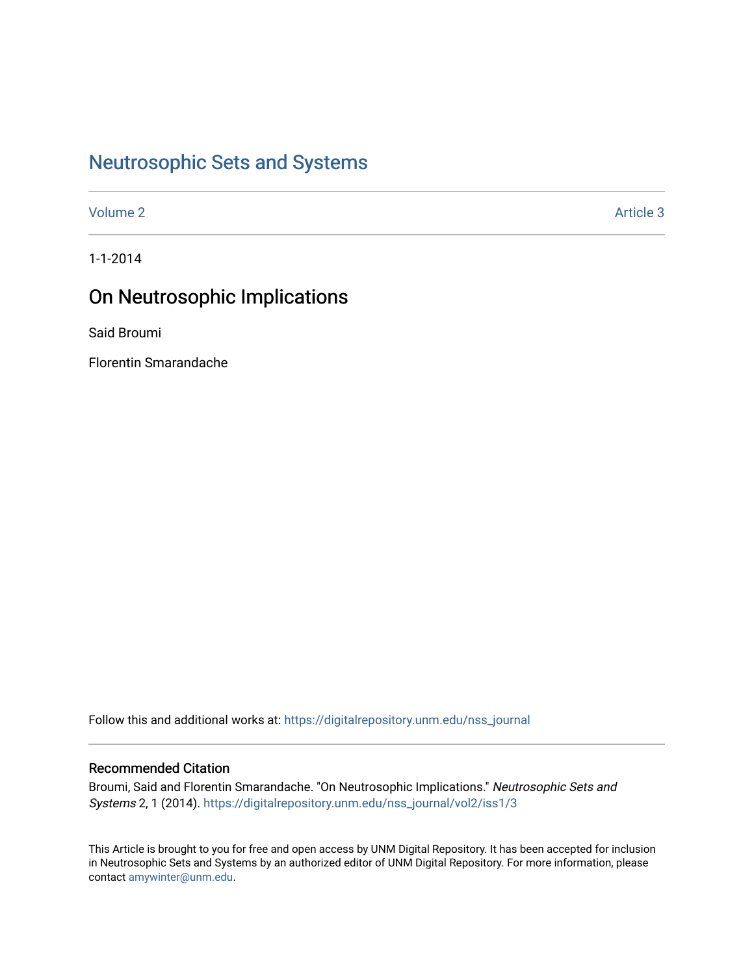# [Neutrosophic Sets and Systems](https://digitalrepository.unm.edu/nss_journal)

[Volume 2](https://digitalrepository.unm.edu/nss_journal/vol2) Article 3

1-1-2014

# On Neutrosophic Implications

Said Broumi

Florentin Smarandache

Follow this and additional works at: [https://digitalrepository.unm.edu/nss\\_journal](https://digitalrepository.unm.edu/nss_journal?utm_source=digitalrepository.unm.edu%2Fnss_journal%2Fvol2%2Fiss1%2F3&utm_medium=PDF&utm_campaign=PDFCoverPages) 

# Recommended Citation

Broumi, Said and Florentin Smarandache. "On Neutrosophic Implications." Neutrosophic Sets and Systems 2, 1 (2014). [https://digitalrepository.unm.edu/nss\\_journal/vol2/iss1/3](https://digitalrepository.unm.edu/nss_journal/vol2/iss1/3?utm_source=digitalrepository.unm.edu%2Fnss_journal%2Fvol2%2Fiss1%2F3&utm_medium=PDF&utm_campaign=PDFCoverPages)

This Article is brought to you for free and open access by UNM Digital Repository. It has been accepted for inclusion in Neutrosophic Sets and Systems by an authorized editor of UNM Digital Repository. For more information, please contact [amywinter@unm.edu](mailto:amywinter@unm.edu).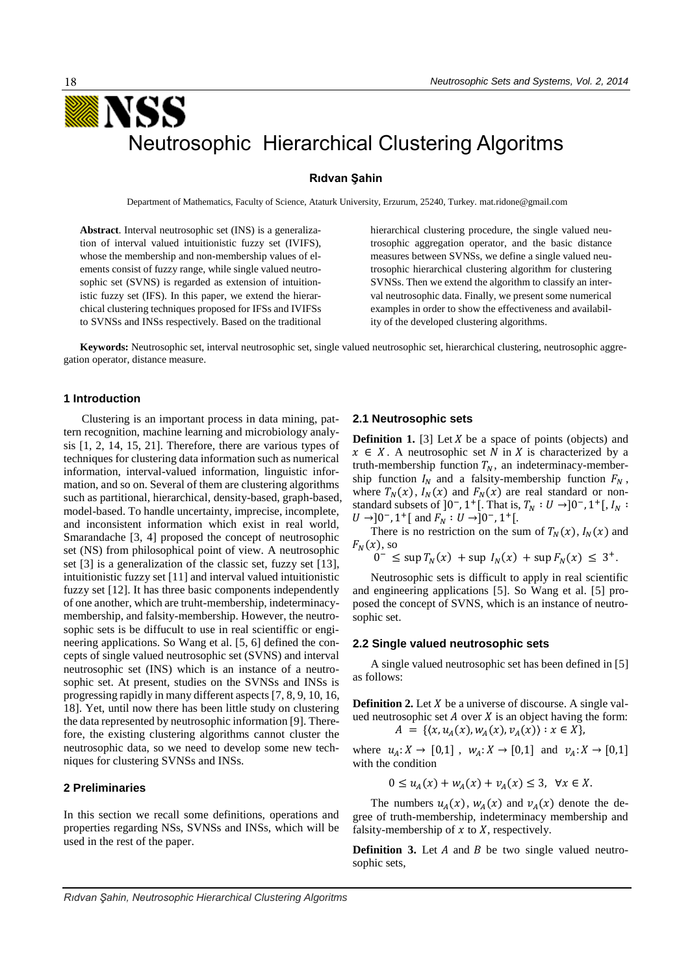# **Rıdvan Şahin**

Department of Mathematics, Faculty of Science, Ataturk University, Erzurum, 25240, Turkey. mat.ridone@gmail.com

**Abstract**. Interval neutrosophic set (INS) is a generalization of interval valued intuitionistic fuzzy set (IVIFS), whose the membership and non-membership values of elements consist of fuzzy range, while single valued neutrosophic set (SVNS) is regarded as extension of intuitionistic fuzzy set (IFS). In this paper, we extend the hierarchical clustering techniques proposed for IFSs and IVIFSs to SVNSs and INSs respectively. Based on the traditional hierarchical clustering procedure, the single valued neutrosophic aggregation operator, and the basic distance measures between SVNSs, we define a single valued neutrosophic hierarchical clustering algorithm for clustering SVNSs. Then we extend the algorithm to classify an interval neutrosophic data. Finally, we present some numerical examples in order to show the effectiveness and availability of the developed clustering algorithms.

**Keywords:** Neutrosophic set, interval neutrosophic set, single valued neutrosophic set, hierarchical clustering, neutrosophic aggregation operator, distance measure.

# **1 Introduction**

Clustering is an important process in data mining, pattern recognition, machine learning and microbiology analysis [1, 2, 14, 15, 21]. Therefore, there are various types of techniques for clustering data information such as numerical information, interval-valued information, linguistic information, and so on. Several of them are clustering algorithms such as partitional, hierarchical, density-based, graph-based, model-based. To handle uncertainty, imprecise, incomplete, and inconsistent information which exist in real world, Smarandache [3, 4] proposed the concept of neutrosophic set (NS) from philosophical point of view. A neutrosophic set [3] is a generalization of the classic set, fuzzy set [13], intuitionistic fuzzy set [11] and interval valued intuitionistic fuzzy set [12]. It has three basic components independently of one another, which are truht-membership, indeterminacymembership, and falsity-membership. However, the neutrosophic sets is be diffucult to use in real scientiffic or engineering applications. So Wang et al. [5, 6] defined the concepts of single valued neutrosophic set (SVNS) and interval neutrosophic set (INS) which is an instance of a neutrosophic set. At present, studies on the SVNSs and INSs is progressing rapidly in many different aspects [7, 8, 9, 10, 16, 18]. Yet, until now there has been little study on clustering the data represented by neutrosophic information [9]. Therefore, the existing clustering algorithms cannot cluster the neutrosophic data, so we need to develop some new techniques for clustering SVNSs and INSs.

# **2 Preliminaries**

In this section we recall some definitions, operations and properties regarding NSs, SVNSs and INSs, which will be used in the rest of the paper.

#### **2.1 Neutrosophic sets**

**Definition 1.** [3] Let  $X$  be a space of points (objects) and  $x \in X$ . A neutrosophic set N in X is characterized by a truth-membership function  $T_N$ , an indeterminacy-membership function  $I_N$  and a falsity-membership function  $F_N$ , where  $T_N(x)$ ,  $I_N(x)$  and  $F_N(x)$  are real standard or nonstandard subsets of  $]0^-$ , 1<sup>+</sup>[. That is,  $T_N : U \rightarrow ]0^-$ , 1<sup>+</sup>[,  $I_N :$  $U \rightarrow ]0^-, 1^+]$  and  $F_N : U \rightarrow ]0^-, 1^+]$ .

There is no restriction on the sum of  $T_N(x)$ ,  $I_N(x)$  and  $F_N(x)$ , so

 $0^- \leq \sup T_N(x) + \sup I_N(x) + \sup F_N(x) \leq 3^+.$ 

Neutrosophic sets is difficult to apply in real scientific and engineering applications [5]. So Wang et al. [5] proposed the concept of SVNS, which is an instance of neutrosophic set.

#### **2.2 Single valued neutrosophic sets**

A single valued neutrosophic set has been defined in [5] as follows:

**Definition 2.** Let  $X$  be a universe of discourse. A single valued neutrosophic set  $A$  over  $X$  is an object having the form:  $A = \{ (x, u_A(x), w_A(x), v_A(x)) : x \in X \},\$ 

where  $u_A: X \to [0,1]$ ,  $w_A: X \to [0,1]$  and  $v_A: X \to [0,1]$ with the condition

$$
0 \le u_A(x) + w_A(x) + v_A(x) \le 3, \ \forall x \in X.
$$

The numbers  $u_A(x)$ ,  $w_A(x)$  and  $v_A(x)$  denote the degree of truth-membership, indeterminacy membership and falsity-membership of  $x$  to  $X$ , respectively.

**Definition 3.** Let  $A$  and  $B$  be two single valued neutrosophic sets,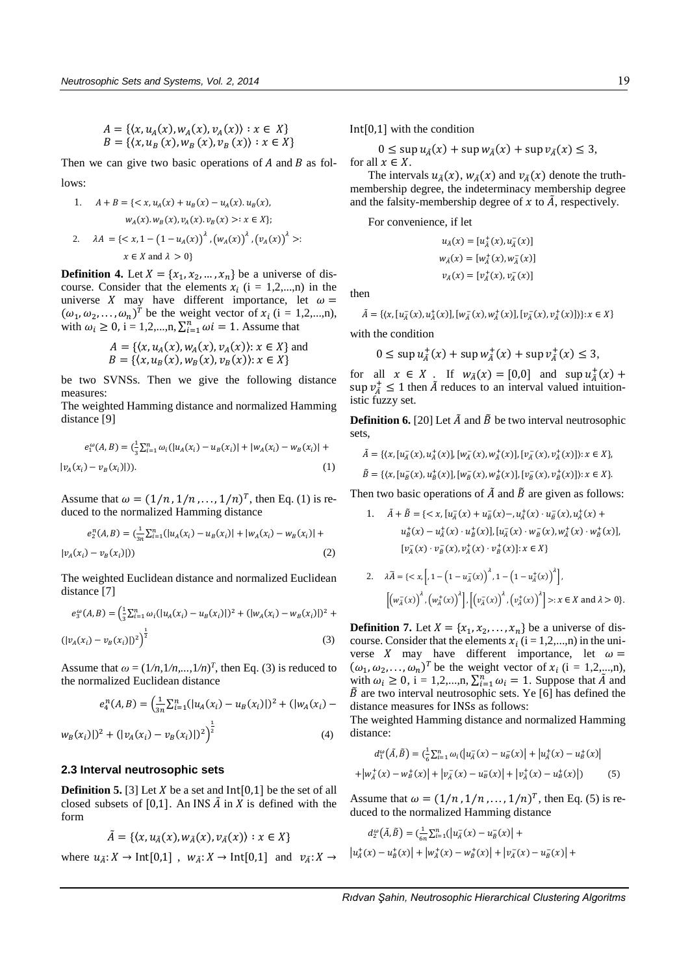$$
A = \{ (x, u_A(x), w_A(x), v_A(x)) : x \in X \}
$$
  

$$
B = \{ (x, u_B(x), w_B(x), v_B(x)) : x \in X \}
$$

Then we can give two basic operations of  $A$  and  $B$  as follows:

1. 
$$
A + B = \{ \langle x, u_A(x) + u_B(x) - u_A(x), u_B(x), u_A(x), w_B(x), v_A(x), v_B(x) \rangle : x \in X \};
$$
  
\n2.  $\lambda A = \{ \langle x, 1 - (1 - u_A(x)) \rangle^{\lambda}, (w_A(x)) \rangle^{\lambda}, (v_A(x)) \rangle^{\lambda} \} : x \in X \text{ and } \lambda > 0 \}$ 

**Definition 4.** Let  $X = \{x_1, x_2, ..., x_n\}$  be a universe of discourse. Consider that the elements  $x_i$  (i = 1,2,...,n) in the universe X may have different importance, let  $\omega =$  $(\omega_1, \omega_2, \dots, \omega_n)^T$  be the weight vector of  $x_i$  (i = 1,2,...,n), with  $\omega_i \ge 0$ , i = 1,2,...,n,  $\sum_{i=1}^n \omega_i = 1$ . Assume that

$$
A = \{ \langle x, u_A(x), w_A(x), v_A(x) \rangle : x \in X \}
$$
 and  

$$
B = \{ \langle x, u_B(x), w_B(x), v_B(x) \rangle : x \in X \}
$$

be two SVNSs. Then we give the following distance measures:

The weighted Hamming distance and normalized Hamming distance [9]

$$
e_1^{\omega}(A, B) = (\frac{1}{3}\sum_{i=1}^n \omega_i (|u_A(x_i) - u_B(x_i)| + |w_A(x_i) - w_B(x_i)| + |v_A(x_i) - v_B(x_i)|)).
$$
\n(1)

Assume that  $\omega = (1/n, 1/n, ..., 1/n)^T$ , then Eq. (1) is reduced to the normalized Hamming distance

$$
e_2^n(A, B) = \left(\frac{1}{3n} \sum_{i=1}^n (|u_A(x_i) - u_B(x_i)| + |w_A(x_i) - w_B(x_i)| + |v_A(x_i) - v_B(x_i)|)\right)
$$
\n<sup>(2)</sup>

The weighted Euclidean distance and normalized Euclidean distance [7]

$$
e_3^{\omega}(A, B) = \left(\frac{1}{3}\sum_{i=1}^n \omega_i (|u_A(x_i) - u_B(x_i)|)^2 + (|w_A(x_i) - w_B(x_i)|)^2 + (|v_A(x_i) - v_B(x_i)|)^2\right)^{\frac{1}{2}}
$$
\n(3)

Assume that  $\omega = (1/n, 1/n, ..., 1/n)^T$ , then Eq. (3) is reduced to the normalized Euclidean distance

$$
e_4^n(A,B) = \left(\frac{1}{3n} \sum_{i=1}^n (|u_A(x_i) - u_B(x_i)|)^2 + (|w_A(x_i) - u_B(x_i)|)^2\right)
$$

$$
w_B(x_i)|^2 + (|v_A(x_i) - v_B(x_i)|)^2)^{\frac{1}{2}}
$$
\n(4)

# **2.3 Interval neutrosophic sets**

**Definition 5.** [3] Let  $X$  be a set and  $Int[0,1]$  be the set of all closed subsets of [0,1]. An INS  $\tilde{A}$  in  $X$  is defined with the form

$$
\tilde{A} = \{ \langle x, u_{\tilde{A}}(x), w_{\tilde{A}}(x), v_{\tilde{A}}(x) \rangle : x \in X \}
$$

where  $u_{\tilde{A}}: X \to \text{Int}[0,1]$ ,  $w_{\tilde{A}}: X \to \text{Int}[0,1]$  and  $v_{\tilde{A}}: X \to$ 

Int[0,1] with the condition

$$
0 \le \sup u_{\tilde{A}}(x) + \sup w_{\tilde{A}}(x) + \sup v_{\tilde{A}}(x) \le 3,
$$
  
for all  $x \in X$ .

The intervals  $u_{\tilde{A}}(x)$ ,  $w_{\tilde{A}}(x)$  and  $v_{\tilde{A}}(x)$  denote the truthmembership degree, the indeterminacy membership degree and the falsity-membership degree of  $x$  to  $\tilde{A}$ , respectively.

For convenience, if let

$$
u_{\tilde{A}}(x) = [u_{\tilde{A}}^+(x), u_{\tilde{A}}^-(x)]
$$
  

$$
w_{\tilde{A}}(x) = [w_{\tilde{A}}^+(x), w_{\tilde{A}}^-(x)]
$$
  

$$
v_{\tilde{A}}(x) = [v_{\tilde{A}}^+(x), v_{\tilde{A}}^-(x)]
$$

then

$$
\tilde{A} = \{ (x, [u_{\tilde{A}}^-(x), u_{\tilde{A}}^+(x)], [w_{\tilde{A}}^-(x), w_{\tilde{A}}^+(x)], [v_{\tilde{A}}^-(x), v_{\tilde{A}}^+(x)] \} \}: x \in X \}
$$

with the condition

$$
0 \le \sup u_{\tilde{A}}^+(x) + \sup w_{\tilde{A}}^+(x) + \sup v_{\tilde{A}}^+(x) \le 3,
$$

for all  $x \in X$ . If  $w_{\tilde{A}}(x) = [0,0]$  and  $\sup u_{\tilde{A}}^+(x)$  + sup  $v_{\tilde{A}}^+ \leq 1$  then  $\tilde{A}$  reduces to an interval valued intuitionistic fuzzy set.

**Definition 6.** [20] Let  $\tilde{A}$  and  $\tilde{B}$  be two interval neutrosophic sets,

$$
\tilde{A} = \{ (x, [u_A^-(x), u_A^+(x)], [w_A^-(x), w_A^+(x)], [v_A^-(x), v_A^+(x)] \} : x \in X \},\
$$

$$
\tilde{B} = \{ (x, [u_{\tilde{B}}^-(x), u_{\tilde{B}}^+(x)], [w_{\tilde{B}}^-(x), w_{\tilde{B}}^+(x)], [v_{\tilde{B}}^-(x), v_{\tilde{B}}^+(x)] \} : x \in X \}.
$$

Then two basic operations of  $\tilde{A}$  and  $\tilde{B}$  are given as follows:

1. 
$$
\tilde{A} + \tilde{B} = \{ \langle x, [u_{\tilde{A}}(x) + u_{\tilde{B}}(x) - , u_{\tilde{A}}^{+}(x) \cdot u_{\tilde{B}}^{-}(x), u_{\tilde{A}}^{+}(x) + u_{\tilde{B}}^{+}(x) - u_{\tilde{A}}^{+}(x) \cdot u_{\tilde{B}}^{+}(x) \rangle, [u_{\tilde{A}}^{-}(x) \cdot w_{\tilde{B}}^{-}(x), w_{\tilde{A}}^{+}(x) \cdot w_{\tilde{B}}^{+}(x)] ,
$$
  
\n
$$
[v_{\tilde{A}}^{-}(x) \cdot v_{\tilde{B}}^{-}(x), v_{\tilde{A}}^{+}(x) \cdot v_{\tilde{B}}^{+}(x)] : x \in X \}
$$

2. 
$$
\lambda \widetilde{A} = \{ \langle x, \left[ , 1 - \left( 1 - u_{\widetilde{A}}(x) \right)^{\lambda}, 1 - \left( 1 - u_{\widetilde{A}}(x) \right)^{\lambda} \right], \left[ \left( w_{\widetilde{A}}(x) \right)^{\lambda}, \left( w_{\widetilde{A}}^{+}(x) \right)^{\lambda} \right], \left[ \left( v_{\widetilde{A}}^{-}(x) \right)^{\lambda}, \left( v_{\widetilde{A}}^{+}(x) \right)^{\lambda} \right] \rangle : x \in X \text{ and } \lambda > 0 \}.
$$

**Definition 7.** Let  $X = \{x_1, x_2, \dots, x_n\}$  be a universe of discourse. Consider that the elements  $x_i$  (i = 1,2,...,n) in the universe X may have different importance, let  $\omega =$  $(\omega_1, \omega_2, \dots, \omega_n)^T$  be the weight vector of  $x_i$  (i = 1,2,...,n), with  $\omega_i \ge 0$ , i = 1,2,...,n,  $\sum_{i=1}^{n} \omega_i = 1$ . Suppose that  $\tilde{A}$  and  $\tilde{B}$  are two interval neutrosophic sets. Ye [6] has defined the distance measures for INSs as follows:

The weighted Hamming distance and normalized Hamming distance:

$$
d_1^{\omega}(\tilde{A}, \tilde{B}) = \left(\frac{1}{6} \sum_{i=1}^n \omega_i \left( \left| u_{\tilde{A}}(x) - u_{\tilde{B}}(x) \right| + \left| u_{\tilde{A}}^+(x) - u_{\tilde{B}}^+(x) \right| \right) + \left| w_{\tilde{A}}^+(x) - w_{\tilde{B}}^+(x) \right| + \left| v_{\tilde{A}}^-(x) - u_{\tilde{B}}^-(x) \right| + \left| v_{\tilde{A}}^+(x) - u_{\tilde{B}}^+(x) \right| \right)
$$
(5)

Assume that  $\omega = (1/n, 1/n, \ldots, 1/n)^T$ , then Eq. (5) is reduced to the normalized Hamming distance

$$
d_2^{\omega}(\tilde{A}, \tilde{B}) = \left(\frac{1}{6n} \sum_{i=1}^n (|u_A^-(x) - u_B^-(x)|) + u_A^+(x) - u_B^+(x)| + |w_A^+(x) - w_B^+(x)| + |v_A^-(x) - u_B^-(x)| + \right)
$$

 $\overline{\phantom{a}}$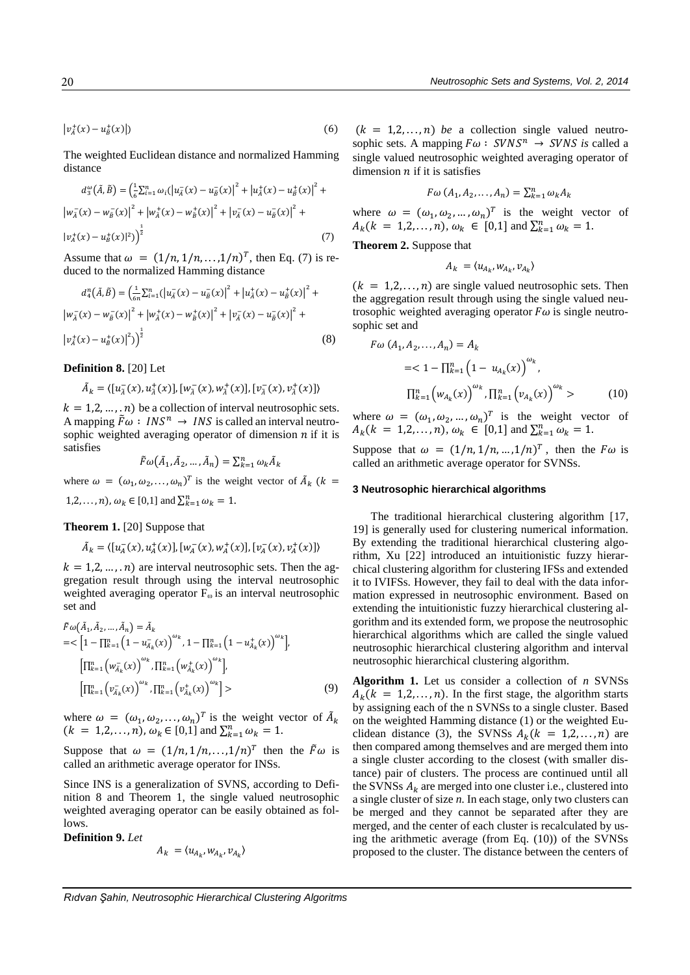$|v_{\tilde{A}}^+(x) - u_{\tilde{B}}^+$  $(x)|$ ) (6)

The weighted Euclidean distance and normalized Hamming distance

$$
d_3^{\omega}(\tilde{A}, \tilde{B}) = \left(\frac{1}{6}\sum_{i=1}^n \omega_i (|u_A^-(x) - u_B^-(x)|^2 + |u_A^+(x) - u_B^+(x)|^2 + |w_A^-(x) - w_B^-(x)|^2 + |w_A^+(x) - w_B^+(x)|^2 + |v_A^-(x) - u_B^-(x)|^2)\right)^{\frac{1}{2}}
$$
\n
$$
(7)
$$

Assume that  $\omega = (1/n, 1/n, \ldots, 1/n)^T$ , then Eq. (7) is reduced to the normalized Hamming distance

$$
d_4^n(\tilde{A}, \tilde{B}) = \left(\frac{1}{6n} \sum_{i=1}^n (|u_A^-(x) - u_B^-(x)|^2 + |u_A^+(x) - u_B^+(x)|^2 + |w_A^-(x) - w_B^-(x)|^2 + |w_A^+(x) - w_B^+(x)|^2 + |v_A^-(x) - u_B^-(x)|^2 + |v_A^+(x) - u_B^+(x)|^2)\right)^{\frac{1}{2}}
$$
\n(8)

**Definition 8.** [20] Let

$$
\tilde{A}_k = \langle [u_{\tilde{A}}^-(x), u_{\tilde{A}}^+(x)], [w_{\tilde{A}}^-(x), w_{\tilde{A}}^+(x)], [v_{\tilde{A}}^-(x), v_{\tilde{A}}^+(x)] \rangle
$$

 $k = 1, 2, ..., n$ ) be a collection of interval neutrosophic sets. A mapping  $\tilde{F}\omega$ :  $INS^{n} \rightarrow INS$  is called an interval neutrosophic weighted averaging operator of dimension  $n$  if it is satisfies

$$
\tilde{F}\omega\big(\tilde{A}_1,\tilde{A}_2,\ldots,\tilde{A}_n\big)=\textstyle\sum_{k=1}^n\omega_k\tilde{A}_k
$$

where  $\omega = (\omega_1, \omega_2, ..., \omega_n)^T$  is the weight vector of  $\tilde{A}_k$  ( $k =$  $1, 2, \ldots, n$ ,  $\omega_k \in [0, 1]$  and  $\sum_{k=1}^n \omega_k = 1$ .

# **Theorem 1.** [20] Suppose that

$$
\tilde{A}_k = \langle [u_A^-(x), u_A^+(x)], [w_A^-(x), w_A^+(x)], [v_A^-(x), v_A^+(x)]\rangle
$$

 $k = 1, 2, ..., n$  are interval neutrosophic sets. Then the aggregation result through using the interval neutrosophic weighted averaging operator  $F_{\omega}$  is an interval neutrosophic set and

$$
\tilde{F}\omega(\tilde{A}_1, \tilde{A}_2, ..., \tilde{A}_n) = \tilde{A}_k
$$
\n
$$
= \left[1 - \prod_{k=1}^n \left(1 - u_{\tilde{A}_k}(x)\right)^{\omega_k}, 1 - \prod_{k=1}^n \left(1 - u_{\tilde{A}_k}(x)\right)^{\omega_k}\right],
$$
\n
$$
\left[\prod_{k=1}^n \left(w_{\tilde{A}_k}(x)\right)^{\omega_k}, \prod_{k=1}^n \left(w_{\tilde{A}_k}(x)\right)^{\omega_k}\right],
$$
\n
$$
\left[\prod_{k=1}^n \left(v_{\tilde{A}_k}(x)\right)^{\omega_k}, \prod_{k=1}^n \left(v_{\tilde{A}_k}^+(x)\right)^{\omega_k}\right] > \tag{9}
$$

where  $\omega = (\omega_1, \omega_2, ..., \omega_n)^T$  is the weight vector of  $\tilde{A}_k$ <br>  $(k = 1, 2, ..., n)$ ,  $\omega_k \in [0, 1]$  and  $\sum_{k=1}^n \omega_k = 1$ .

Suppose that  $\omega = (1/n, 1/n, ..., 1/n)^T$  then the  $\tilde{F}\omega$  is called an arithmetic average operator for INSs.

Since INS is a generalization of SVNS, according to Definition 8 and Theorem 1, the single valued neutrosophic weighted averaging operator can be easily obtained as follows.

**Definition 9.** *Let*

$$
A_k = \langle u_{A_k}, w_{A_k}, v_{A_k} \rangle
$$

 $(k = 1,2,...,n)$  *be* a collection single valued neutrosophic sets. A mapping  $F\omega$ : *SVNS*<sup>n</sup>  $\rightarrow$  *SVNS* is called a single valued neutrosophic weighted averaging operator of dimension  $n$  if it is satisfies

$$
F\omega\left(A_1,A_2,\ldots,A_n\right)=\sum_{k=1}^n\omega_kA_k
$$

where  $\omega = (\omega_1, \omega_2, ..., \omega_n)^T$  is the weight vector of  $A_k(k = 1,2,...,n), \omega_k \in [0,1]$  and  $\sum_{k=1}^n \omega_k = 1$ .

**Theorem 2.** Suppose that

$$
A_k = \langle u_{A_k}, w_{A_k}, v_{A_k} \rangle
$$

 $(k = 1,2,...,n)$  are single valued neutrosophic sets. Then the aggregation result through using the single valued neutrosophic weighted averaging operator  $F\omega$  is single neutrosophic set and

$$
F\omega(A_1, A_2, ..., A_n) = A_k
$$
  
= $1 - \prod_{k=1}^n (1 - u_{A_k}(x))^{\omega_k}$ ,  

$$
\prod_{k=1}^n (w_{A_k}(x))^{\omega_k} \cdot \prod_{k=1}^n (v_{A_k}(x))^{\omega_k} > (10)
$$

where  $\omega = (\omega_1, \omega_2, ..., \omega_n)^T$  is the weight vector of  $A_k(k = 1,2,...,n), \omega_k \in [0,1]$  and  $\sum_{k=1}^n \omega_k = 1$ .

Suppose that  $\omega = (1/n, 1/n, ..., 1/n)^T$ , then the  $F\omega$  is called an arithmetic average operator for SVNSs.

### **3 Neutrosophic hierarchical algorithms**

The traditional hierarchical clustering algorithm [17, 19] is generally used for clustering numerical information. By extending the traditional hierarchical clustering algorithm, Xu [22] introduced an intuitionistic fuzzy hierarchical clustering algorithm for clustering IFSs and extended it to IVIFSs. However, they fail to deal with the data information expressed in neutrosophic environment. Based on extending the intuitionistic fuzzy hierarchical clustering algorithm and its extended form, we propose the neutrosophic hierarchical algorithms which are called the single valued neutrosophic hierarchical clustering algorithm and interval neutrosophic hierarchical clustering algorithm.

**Algorithm 1.** Let us consider a collection of *n* SVNSs  $A_k$ ( $k = 1, 2, ..., n$ ). In the first stage, the algorithm starts by assigning each of the n SVNSs to a single cluster. Based on the weighted Hamming distance (1) or the weighted Euclidean distance (3), the SVNSs  $A_k(k = 1,2,...,n)$  are then compared among themselves and are merged them into a single cluster according to the closest (with smaller distance) pair of clusters. The process are continued until all the SVNSs  $A_k$  are merged into one cluster i.e., clustered into a single cluster of size *n.* In each stage, only two clusters can be merged and they cannot be separated after they are merged, and the center of each cluster is recalculated by using the arithmetic average (from Eq. (10)) of the SVNSs proposed to the cluster. The distance between the centers of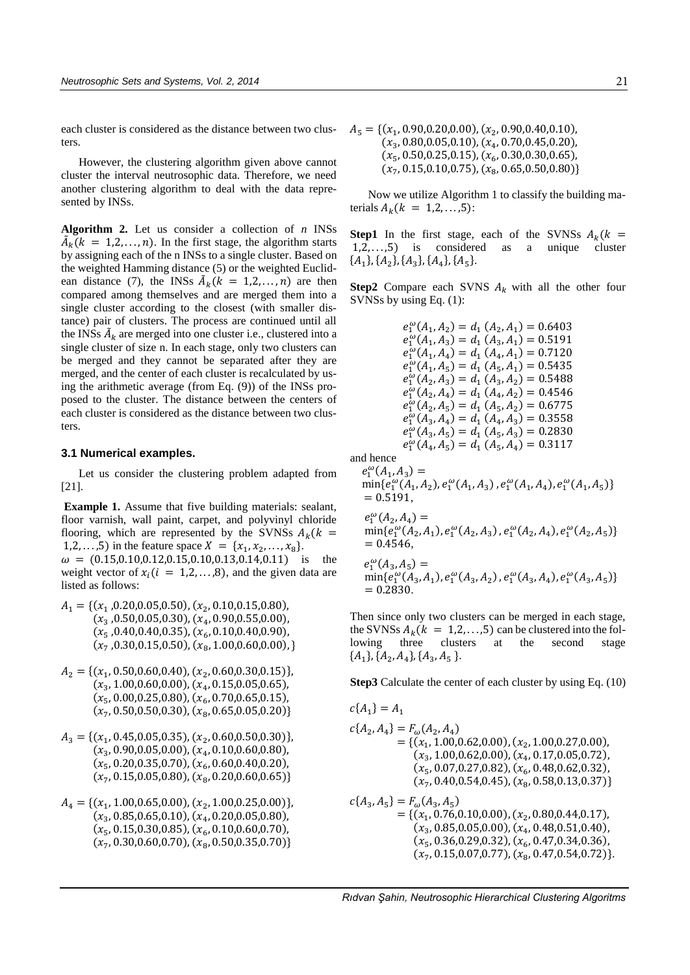each cluster is considered as the distance between two clusters.

 However, the clustering algorithm given above cannot cluster the interval neutrosophic data. Therefore, we need another clustering algorithm to deal with the data represented by INSs.

**Algorithm 2.** Let us consider a collection of *n* INSs  $\tilde{A}_k(k = 1, 2, ..., n)$ . In the first stage, the algorithm starts by assigning each of the n INSs to a single cluster. Based on the weighted Hamming distance (5) or the weighted Euclidean distance (7), the INSs  $\tilde{A}_k (k = 1, 2, ..., n)$  are then compared among themselves and are merged them into a single cluster according to the closest (with smaller distance) pair of clusters. The process are continued until all the INSs  $\tilde{A}_k$  are merged into one cluster i.e., clustered into a single cluster of size n. In each stage, only two clusters can be merged and they cannot be separated after they are merged, and the center of each cluster is recalculated by using the arithmetic average (from Eq. (9)) of the INSs proposed to the cluster. The distance between the centers of each cluster is considered as the distance between two clusters.

# **3.1 Numerical examples.**

Let us consider the clustering problem adapted from [21].

**Example 1.** Assume that five building materials: sealant, floor varnish, wall paint, carpet, and polyvinyl chloride flooring, which are represented by the SVNSs  $A_k(k)$ 1,2,...,5) in the feature space  $X = \{x_1, x_2, ..., x_8\}$ .

 $\omega = (0.15, 0.10, 0.12, 0.15, 0.10, 0.13, 0.14, 0.11)$  is the weight vector of  $x_i$  ( $i = 1, 2, \ldots, 8$ ), and the given data are listed as follows:

- $A_1 = \{(x_1, 0.20, 0.05, 0.50), (x_2, 0.10, 0.15, 0.80),\}$  $(x_{3\,$ ,0.50,0.05,0.30),  $(x_{4}, 0.90, 0.55, 0.00)$ ,  $(x_5, 0.40, 0.40, 0.35), (x_6, 0.10, 0.40, 0.90),$  $(x_7, 0.30, 0.15, 0.50), (x_8, 1.00, 0.60, 0.00),$
- $A_2 = \{(x_1, 0.50, 0.60, 0.40), (x_2, 0.60, 0.30, 0.15)\},\$  $(x_3, 1.00, 0.60, 0.00), (x_4, 0.15, 0.05, 0.65),$  $(x_5, 0.00, 0.25, 0.80), (x_6, 0.70, 0.65, 0.15),$  $(x_7, 0.50, 0.50, 0.30), (x_8, 0.65, 0.05, 0.20)\}$
- $A_3 = \{(x_1, 0.45, 0.05, 0.35), (x_2, 0.60, 0.50, 0.30)\},\$  $(x_3, 0.90, 0.05, 0.00), (x_4, 0.10, 0.60, 0.80),$  $(x_5, 0.20, 0.35, 0.70), (x_6, 0.60, 0.40, 0.20),$  $(x_7, 0.15, 0.05, 0.80), (x_8, 0.20, 0.60, 0.65)$
- $A_4 = \{(x_1, 1.00, 0.65, 0.00), (x_2, 1.00, 0.25, 0.00)\},\$  $(x_3, 0.85, 0.65, 0.10), (x_4, 0.20, 0.05, 0.80),$  $(x_5, 0.15, 0.30, 0.85), (x_6, 0.10, 0.60, 0.70),$  $(x_7, 0.30, 0.60, 0.70), (x_8, 0.50, 0.35, 0.70)$

 $A_5 = \{(x_1, 0.90, 0.20, 0.00), (x_2, 0.90, 0.40, 0.10),\}$  $(x_3, 0.80, 0.05, 0.10), (x_4, 0.70, 0.45, 0.20),$  $(x_5, 0.50, 0.25, 0.15), (x_6, 0.30, 0.30, 0.65),$  $\left( x_{7},0.15,0.10,0.75\right) ,\left( x_{8},0.65,0.50,0.80\right) \}$ 

Now we utilize Algorithm 1 to classify the building materials  $A_k (k = 1, 2, ..., 5)$ :

**Step1** In the first stage, each of the SVNSs  $A_k(k)$ 1,2, . . . ,5) is considered as a unique cluster  ${A_1}, {A_2}, {A_3}, {A_4}, {A_5}.$ 

**Step2** Compare each SVNS  $A_k$  with all the other four SVNSs by using Eq. (1):

$$
e_1^{\omega}(A_1, A_2) = d_1 (A_2, A_1) = 0.6403
$$
  
\n
$$
e_1^{\omega}(A_1, A_3) = d_1 (A_3, A_1) = 0.5191
$$
  
\n
$$
e_1^{\omega}(A_1, A_4) = d_1 (A_4, A_1) = 0.7120
$$
  
\n
$$
e_1^{\omega}(A_1, A_5) = d_1 (A_5, A_1) = 0.5435
$$
  
\n
$$
e_1^{\omega}(A_2, A_3) = d_1 (A_3, A_2) = 0.5488
$$
  
\n
$$
e_1^{\omega}(A_2, A_4) = d_1 (A_4, A_2) = 0.4546
$$
  
\n
$$
e_1^{\omega}(A_2, A_5) = d_1 (A_5, A_2) = 0.6775
$$
  
\n
$$
e_1^{\omega}(A_3, A_4) = d_1 (A_4, A_3) = 0.3558
$$
  
\n
$$
e_1^{\omega}(A_3, A_5) = d_1 (A_5, A_3) = 0.2830
$$
  
\n
$$
e_1^{\omega}(A_4, A_5) = d_1 (A_5, A_4) = 0.3117
$$

and hence

(<sup>2</sup>

$$
e_1^{\omega}(A_1, A_3) = \min\{e_1^{\omega}(A_1, A_2), e_1^{\omega}(A_1, A_3), e_1^{\omega}(A_1, A_4), e_1^{\omega}(A_1, A_5)\}
$$
  
= 0.5191,

$$
e_1^{\omega}(A_2, A_4) =
$$
  
\n
$$
\min\{e_1^{\omega}(A_2, A_1), e_1^{\omega}(A_2, A_3), e_1^{\omega}(A_2, A_4), e_1^{\omega}(A_2, A_5)\}
$$
  
\n= 0.4546,  
\n
$$
e_1^{\omega}(A_3, A_5) =
$$
  
\n
$$
\min\{e_1^{\omega}(A_3, A_1), e_1^{\omega}(A_3, A_2), e_1^{\omega}(A_3, A_4), e_1^{\omega}(A_3, A_5)\}
$$
  
\n= 0.2830.

Then since only two clusters can be merged in each stage, the SVNSs  $A_k$  ( $k = 1, 2, ..., 5$ ) can be clustered into the fol-<br>lowing three clusters at the second stage lowing three clusters at the second stage  ${A_1}, {A_2}, {A_4}, {A_3}, {A_5}$ 

**Step3** Calculate the center of each cluster by using Eq. (10)

$$
c{A_1} = A_1
$$
  
\n
$$
c{A_2, A_4} = F_{\omega}(A_2, A_4)
$$
  
\n
$$
= {(x_1, 1.00, 0.62, 0.00), (x_2, 1.00, 0.27, 0.00), (x_3, 1.00, 0.62, 0.00), (x_4, 0.17, 0.05, 0.72), (x_5, 0.07, 0.27, 0.82), (x_6, 0.48, 0.62, 0.32), (x_7, 0.40, 0.54, 0.45), (x_8, 0.58, 0.13, 0.37)}
$$
  
\n
$$
c{A_3, A_5} = F_{\omega}(A_3, A_5)
$$
  
\n
$$
= {(x_1, 0.76, 0.10, 0.00), (x_2, 0.80, 0.44, 0.17), (x_3, 0.85, 0.05, 0.00), (x_4, 0.48, 0.51, 0.40), (x_5, 0.36, 0.29, 0.32), (x_6, 0.47, 0.34, 0.36), (x_7, 0.15, 0.07, 0.77), (x_8, 0.47, 0.54, 0.72)}
$$
.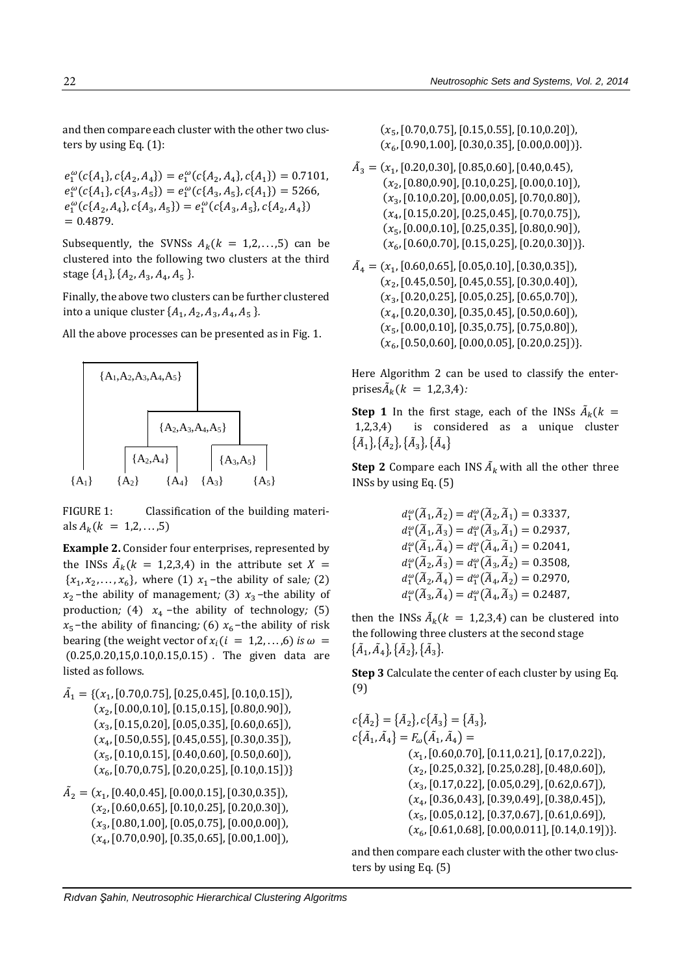and then compare each cluster with the other two clusters by using Eq. (1):

$$
e_1^{\omega}(c{A_1}, c{A_2}, A_4) = e_1^{\omega}(c{A_2}, A_4), c{A_1}) = 0.7101,
$$
  
\n
$$
e_1^{\omega}(c{A_1}, c{A_3}, A_5) = e_1^{\omega}(c{A_3}, A_5), c{A_1}) = 5266,
$$
  
\n
$$
e_1^{\omega}(c{A_2}, A_4), c{A_3}, A_5) = e_1^{\omega}(c{A_3}, A_5), c{A_2}, A_4)
$$
  
\n= 0.4879.

Subsequently, the SVNSs  $A_k$ ( $k = 1, 2, ..., 5$ ) can be clustered into the following two clusters at the third stage  $\{A_1\}$ ,  $\{A_2, A_3, A_4, A_5\}$ .

Finally, the above two clusters can be further clustered into a unique cluster  $\{A_1, A_2, A_3, A_4, A_5\}$ .

All the above processes can be presented as in Fig. 1.



FIGURE 1: Classification of the building materials  $A_k (k = 1, 2, ..., 5)$ 

**Example 2.** Consider four enterprises, represented by the INSs  $\tilde{A}_k(k = 1,2,3,4)$  in the attribute set  $X =$  ${x_1, x_2, ..., x_6}$ , where (1)  $x_1$ -the ability of sale; (2)  $x_2$  –the ability of management; (3)  $x_3$  –the ability of production; (4)  $x_4$  –the ability of technology; (5)  $x_5$ -the ability of financing; (6)  $x_6$ -the ability of risk bearing (the weight vector of  $x_i$  ( $i = 1,2,...,6$ ) *is*  $\omega$  = (0.25,0.20,15,0.10,0.15,0.15) *.* The given data are listed as follows.

- $\tilde{A}_1 = \{ (x_1, [0.70, 0.75], [0.25, 0.45], [0.10, 0.15]) \}$  $(x_{\rm 2}, [0.00, 0.10], [0.15, 0.15], [0.80, 0.90]),$  $(x_3, [0.15, 0.20], [0.05, 0.35], [0.60, 0.65]),$  $(x_{4},[0.50,0.55],[0.45,0.55],[0.30,0.35]),$  $(x_5, [0.10, 0.15], [0.40, 0.60], [0.50, 0.60]),$  $(x_{6}, [0.70, 0.75], [0.20, 0.25], [0.10, 0.15])$
- $\tilde{A}_2 = (x_1, [0.40, 0.45], [0.00, 0.15], [0.30, 0.35]),$  $(x_{2},[0.60,0.65],[0.10,0.25],[0.20,0.30]),$  $\left( x_{3},\left[ 0.80,1.00\right] ,\left[ 0.05,0.75\right] ,\left[ 0.00,0.00\right] \right) ,$  $(x_{4},[0.70,0.90],[0.35,0.65],[0.00,1.00]),$

 $(x_{5},[0.70,0.75],[0.15,0.55],[0.10,0.20]),$  $(x_{6}, [0.90,1.00], [0.30,0.35], [0.00,0.00])\}.$ 

- $\tilde{A}_3 = (x_1, [0.20, 0.30], [0.85, 0.60], [0.40, 0.45],$  $(x_{\rm 2}, [0.80,\!0.90], [0.10,\!0.25], [0.00,\!0.10]),$  $(x_3, \left[0.10, 0.20\right], \left[0.00, 0.05\right], \left[0.70, 0.80\right]),$  $(x_{4},[0.15,\!0.20],[0.25,\!0.45],[0.70,\!0.75]),$  $(x_5, \hbox{[0.00,0.10]}, \hbox{[0.25,0.35]}, \hbox{[0.80,0.90]}),$  $(x_{6},[0.60,0.70],[0.15,0.25],[0.20,0.30])\}.$
- $\tilde{A}_4 = (x_1, [0.60, 0.65], [0.05, 0.10], [0.30, 0.35]),$  $(x_{\rm 2}, [0.45,\!0.50], [0.45,\!0.55], [0.30,\!0.40]),$  $(x_3, \hbox{[0.20,0.25]}, \hbox{[0.05,0.25]}, \hbox{[0.65,0.70]}),$  $\left( x_{4},\left[ 0.20,0.30\right] ,\left[ 0.35,0.45\right] ,\left[ 0.50,0.60\right] \right) ,$  $(x_{5},[0.00,0.10],[0.35,0.75],[0.75,0.80]),\$  $(x_{6}, [0.50, 0.60], [0.00, 0.05], [0.20, 0.25])\}.$

Here Algorithm 2 can be used to classify the enterprises $\tilde{A}_k(k = 1,2,3,4)$ *:* 

**Step 1** In the first stage, each of the INSs  $\tilde{A}_k(k)$ 1,2,3,4) is considered as a unique cluster  $\{\tilde{A}_1\}, \{\tilde{A}_2\}, \{\tilde{A}_3\}, \{\tilde{A}_4\}$ 

**Step 2** Compare each INS  $\tilde{A}_k$  with all the other three INSs by using Eq. (5)

> $d_1^{\omega}(\tilde{A}_1, \tilde{A}_2) = d_1^{\omega}(\tilde{A}_2, \tilde{A}_1) = 0.3337,$  $d_1^{\omega}(\tilde{A}_1, \tilde{A}_3) = d_1^{\omega}(\tilde{A}_3, \tilde{A}_1) = 0.2937,$  $d_1^{\omega}(\tilde{A}_1, \tilde{A}_4) = d_1^{\omega}(\tilde{A}_4, \tilde{A}_1) = 0.2041,$  $d_1^{\omega}(\tilde{A}_2, \tilde{A}_3) = d_1^{\omega}(\tilde{A}_3, \tilde{A}_2) = 0.3508,$  $d_1^{\omega}(\tilde{A}_2, \tilde{A}_4) = d_1^{\omega}(\tilde{A}_4, \tilde{A}_2) = 0.2970,$  $d_1^{\omega}(\tilde{A}_3, \tilde{A}_4) = d_1^{\omega}(\tilde{A}_4, \tilde{A}_3) = 0.2487,$

then the INSs  $\tilde{A}_k(k = 1,2,3,4)$  can be clustered into the following three clusters at the second stage  $\{\tilde{A}_1, \tilde{A}_4\}, \{\tilde{A}_2\}, \{\tilde{A}_3\}.$ 

**Step 3** Calculate the center of each cluster by using Eq. (9)

$$
c\{\tilde{A}_2\} = \{\tilde{A}_2\}, c\{\tilde{A}_3\} = \{\tilde{A}_3\},
$$
  
\n
$$
c\{\tilde{A}_1, \tilde{A}_4\} = F_{\omega}(\tilde{A}_1, \tilde{A}_4) =
$$
  
\n
$$
(x_1, [0.60, 0.70], [0.11, 0.21], [0.17, 0.22]),
$$
  
\n
$$
(x_2, [0.25, 0.32], [0.25, 0.28], [0.48, 0.60]),
$$
  
\n
$$
(x_3, [0.17, 0.22], [0.05, 0.29], [0.62, 0.67]),
$$
  
\n
$$
(x_4, [0.36, 0.43], [0.39, 0.49], [0.38, 0.45]),
$$
  
\n
$$
(x_5, [0.05, 0.12], [0.37, 0.67], [0.61, 0.69]),
$$
  
\n
$$
(x_6, [0.61, 0.68], [0.00, 0.011], [0.14, 0.19])\}.
$$

and then compare each cluster with the other two clusters by using Eq. (5)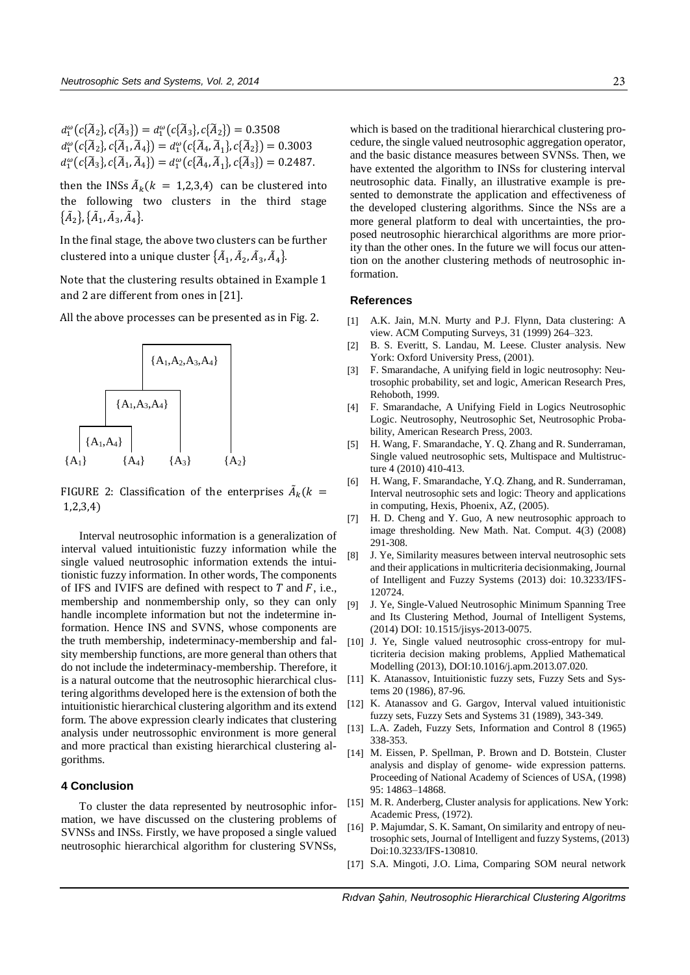then the INSs  $\tilde{A}_k(k = 1,2,3,4)$  can be clustered into the following two clusters in the third stage  $\{\tilde{A}_2\}, \{\tilde{A}_1, \tilde{A}_3, \tilde{A}_4\}.$ 

In the final stage, the above two clusters can be further clustered into a unique cluster  $\{\tilde{A}_{1},\tilde{A}_{2},\tilde{A}_{3},\tilde{A}_{4}\}$ .

Note that the clustering results obtained in Example 1 and 2 are different from ones in [21].

All the above processes can be presented as in Fig. 2.



FIGURE 2: Classification of the enterprises  $\tilde{A}_k(k=$ 1,2,3,4)

Interval neutrosophic information is a generalization of interval valued intuitionistic fuzzy information while the single valued neutrosophic information extends the intuitionistic fuzzy information. In other words, The components of IFS and IVIFS are defined with respect to  $T$  and  $F$ , i.e., membership and nonmembership only, so they can only handle incomplete information but not the indetermine information. Hence INS and SVNS, whose components are the truth membership, indeterminacy-membership and falsity membership functions, are more general than others that do not include the indeterminacy-membership. Therefore, it is a natural outcome that the neutrosophic hierarchical clustering algorithms developed here is the extension of both the intuitionistic hierarchical clustering algorithm and its extend form. The above expression clearly indicates that clustering analysis under neutrossophic environment is more general and more practical than existing hierarchical clustering algorithms.

## **4 Conclusion**

To cluster the data represented by neutrosophic information, we have discussed on the clustering problems of SVNSs and INSs. Firstly, we have proposed a single valued neutrosophic hierarchical algorithm for clustering SVNSs, which is based on the traditional hierarchical clustering procedure, the single valued neutrosophic aggregation operator, and the basic distance measures between SVNSs. Then, we have extented the algorithm to INSs for clustering interval neutrosophic data. Finally, an illustrative example is presented to demonstrate the application and effectiveness of the developed clustering algorithms. Since the NSs are a more general platform to deal with uncertainties, the proposed neutrosophic hierarchical algorithms are more priority than the other ones. In the future we will focus our attention on the another clustering methods of neutrosophic information.

#### **References**

- [1] A.K. Jain, M.N. Murty and P.J. Flynn, Data clustering: A view. ACM Computing Surveys, 31 (1999) 264–323.
- [2] B. S. Everitt, S. Landau, M. Leese. Cluster analysis. New York: Oxford University Press, (2001).
- [3] F. Smarandache, A unifying field in logic neutrosophy: Neutrosophic probability, set and logic, American Research Pres, Rehoboth, 1999.
- [4] F. Smarandache, A Unifying Field in Logics Neutrosophic Logic. Neutrosophy, Neutrosophic Set, Neutrosophic Probability, American Research Press, 2003.
- [5] H. Wang, F. Smarandache, Y. Q. Zhang and R. Sunderraman, Single valued neutrosophic sets, Multispace and Multistructure 4 (2010) 410-413.
- [6] H. Wang, F. Smarandache, Y.O. Zhang, and R. Sunderraman, Interval neutrosophic sets and logic: Theory and applications in computing, Hexis, Phoenix, AZ, (2005).
- [7] H. D. Cheng and Y. Guo, A new neutrosophic approach to image thresholding. New Math. Nat. Comput. 4(3) (2008) 291-308.
- [8] J. Ye, Similarity measures between interval neutrosophic sets and their applications in multicriteria decisionmaking, Journal of Intelligent and Fuzzy Systems (2013) doi: 10.3233/IFS-120724.
- [9] J. Ye, Single-Valued Neutrosophic Minimum Spanning Tree and Its Clustering Method, Journal of Intelligent Systems, (2014) DOI: 10.1515/jisys-2013-0075.
- [10] J. Ye, Single valued neutrosophic cross-entropy for multicriteria decision making problems, Applied Mathematical Modelling (2013), DOI:10.1016/j.apm.2013.07.020.
- [11] K. Atanassov, Intuitionistic fuzzy sets, Fuzzy Sets and Systems 20 (1986), 87-96.
- K. Atanassov and G. Gargov, Interval valued intuitionistic fuzzy sets, Fuzzy Sets and Systems 31 (1989), 343-349.
- [13] L.A. Zadeh, Fuzzy Sets, Information and Control 8 (1965) 338-353.
- [14] M. Eissen, P. Spellman, P. Brown and D. Botstein, Cluster analysis and display of genome- wide expression patterns. Proceeding of National Academy of Sciences of USA, (1998) 95: 14863–14868.
- [15] M. R. Anderberg, Cluster analysis for applications. New York: Academic Press, (1972).
- [16] P. Majumdar, S. K. Samant, On similarity and entropy of neutrosophic sets, Journal of Intelligent and fuzzy Systems, (2013) Doi:10.3233/IFS-130810.
- [17] S.A. Mingoti, J.O. Lima, Comparing SOM neural network